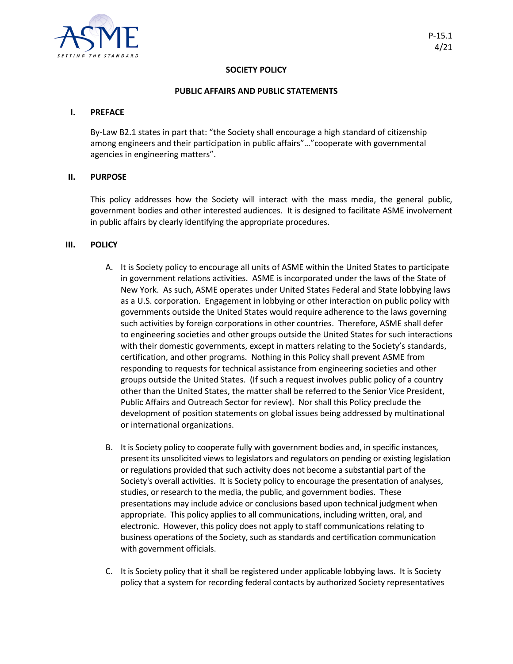

# **SOCIETY POLICY**

#### **PUBLIC AFFAIRS AND PUBLIC STATEMENTS**

## **I. PREFACE**

By-Law B2.1 states in part that: "the Society shall encourage a high standard of citizenship among engineers and their participation in public affairs"…"cooperate with governmental agencies in engineering matters".

## **II. PURPOSE**

This policy addresses how the Society will interact with the mass media, the general public, government bodies and other interested audiences. It is designed to facilitate ASME involvement in public affairs by clearly identifying the appropriate procedures.

#### **III. POLICY**

- A. It is Society policy to encourage all units of ASME within the United States to participate in government relations activities. ASME is incorporated under the laws of the State of New York. As such, ASME operates under United States Federal and State lobbying laws as a U.S. corporation. Engagement in lobbying or other interaction on public policy with governments outside the United States would require adherence to the laws governing such activities by foreign corporations in other countries. Therefore, ASME shall defer to engineering societies and other groups outside the United States for such interactions with their domestic governments, except in matters relating to the Society's standards, certification, and other programs. Nothing in this Policy shall prevent ASME from responding to requests for technical assistance from engineering societies and other groups outside the United States. (If such a request involves public policy of a country other than the United States, the matter shall be referred to the Senior Vice President, Public Affairs and Outreach Sector for review). Nor shall this Policy preclude the development of position statements on global issues being addressed by multinational or international organizations.
- B. It is Society policy to cooperate fully with government bodies and, in specific instances, present its unsolicited views to legislators and regulators on pending or existing legislation or regulations provided that such activity does not become a substantial part of the Society's overall activities. It is Society policy to encourage the presentation of analyses, studies, or research to the media, the public, and government bodies. These presentations may include advice or conclusions based upon technical judgment when appropriate. This policy applies to all communications, including written, oral, and electronic. However, this policy does not apply to staff communications relating to business operations of the Society, such as standards and certification communication with government officials.
- C. It is Society policy that it shall be registered under applicable lobbying laws. It is Society policy that a system for recording federal contacts by authorized Society representatives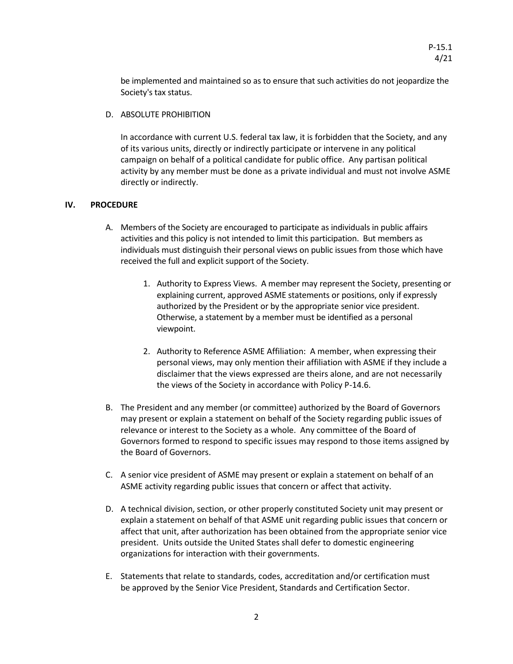be implemented and maintained so as to ensure that such activities do not jeopardize the Society's tax status.

D. ABSOLUTE PROHIBITION

In accordance with current U.S. federal tax law, it is forbidden that the Society, and any of its various units, directly or indirectly participate or intervene in any political campaign on behalf of a political candidate for public office. Any partisan political activity by any member must be done as a private individual and must not involve ASME directly or indirectly.

# **IV. PROCEDURE**

- A. Members of the Society are encouraged to participate as individuals in public affairs activities and this policy is not intended to limit this participation. But members as individuals must distinguish their personal views on public issues from those which have received the full and explicit support of the Society.
	- 1. Authority to Express Views. A member may represent the Society, presenting or explaining current, approved ASME statements or positions, only if expressly authorized by the President or by the appropriate senior vice president. Otherwise, a statement by a member must be identified as a personal viewpoint.
	- 2. Authority to Reference ASME Affiliation: A member, when expressing their personal views, may only mention their affiliation with ASME if they include a disclaimer that the views expressed are theirs alone, and are not necessarily the views of the Society in accordance with Policy P-14.6.
- B. The President and any member (or committee) authorized by the Board of Governors may present or explain a statement on behalf of the Society regarding public issues of relevance or interest to the Society as a whole. Any committee of the Board of Governors formed to respond to specific issues may respond to those items assigned by the Board of Governors.
- C. A senior vice president of ASME may present or explain a statement on behalf of an ASME activity regarding public issues that concern or affect that activity.
- D. A technical division, section, or other properly constituted Society unit may present or explain a statement on behalf of that ASME unit regarding public issues that concern or affect that unit, after authorization has been obtained from the appropriate senior vice president. Units outside the United States shall defer to domestic engineering organizations for interaction with their governments.
- E. Statements that relate to standards, codes, accreditation and/or certification must be approved by the Senior Vice President, Standards and Certification Sector.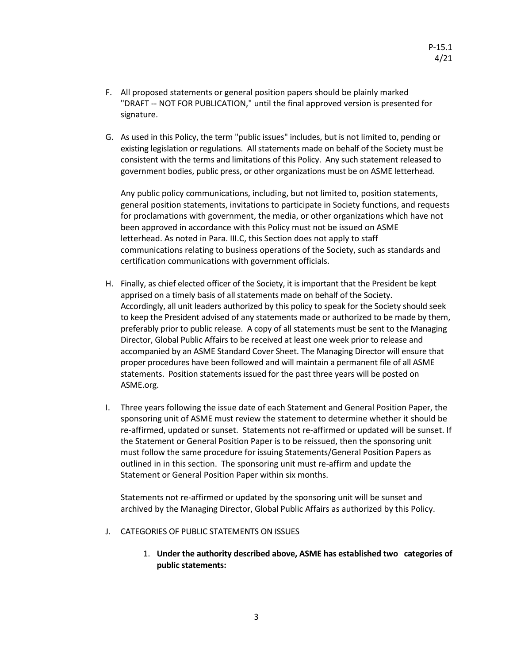- F. All proposed statements or general position papers should be plainly marked "DRAFT -- NOT FOR PUBLICATION," until the final approved version is presented for signature.
- G. As used in this Policy, the term "public issues" includes, but is not limited to, pending or existing legislation or regulations. All statements made on behalf of the Society must be consistent with the terms and limitations of this Policy. Any such statement released to government bodies, public press, or other organizations must be on ASME letterhead.

Any public policy communications, including, but not limited to, position statements, general position statements, invitations to participate in Society functions, and requests for proclamations with government, the media, or other organizations which have not been approved in accordance with this Policy must not be issued on ASME letterhead. As noted in Para. III.C, this Section does not apply to staff communications relating to business operations of the Society, such as standards and certification communications with government officials.

- H. Finally, as chief elected officer of the Society, it is important that the President be kept apprised on a timely basis of all statements made on behalf of the Society. Accordingly, all unit leaders authorized by this policy to speak for the Society should seek to keep the President advised of any statements made or authorized to be made by them, preferably prior to public release. A copy of all statements must be sent to the Managing Director, Global Public Affairs to be received at least one week prior to release and accompanied by an ASME Standard Cover Sheet. The Managing Director will ensure that proper procedures have been followed and will maintain a permanent file of all ASME statements. Position statements issued for the past three years will be posted on ASME.org.
- I. Three years following the issue date of each Statement and General Position Paper, the sponsoring unit of ASME must review the statement to determine whether it should be re-affirmed, updated or sunset. Statements not re-affirmed or updated will be sunset. If the Statement or General Position Paper is to be reissued, then the sponsoring unit must follow the same procedure for issuing Statements/General Position Papers as outlined in in this section. The sponsoring unit must re-affirm and update the Statement or General Position Paper within six months.

Statements not re-affirmed or updated by the sponsoring unit will be sunset and archived by the Managing Director, Global Public Affairs as authorized by this Policy.

- J. CATEGORIES OF PUBLIC STATEMENTS ON ISSUES
	- 1. **Under the authority described above, ASME has established two categories of public statements:**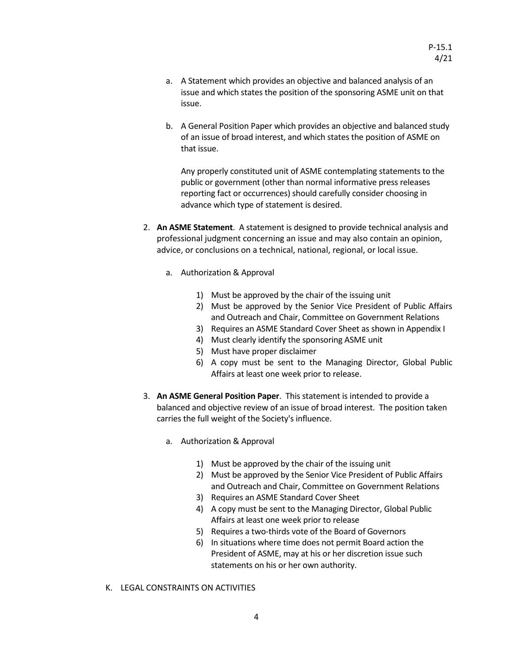- a. A Statement which provides an objective and balanced analysis of an issue and which states the position of the sponsoring ASME unit on that issue.
- b. A General Position Paper which provides an objective and balanced study of an issue of broad interest, and which states the position of ASME on that issue.

Any properly constituted unit of ASME contemplating statements to the public or government (other than normal informative press releases reporting fact or occurrences) should carefully consider choosing in advance which type of statement is desired.

- 2. **An ASME Statement**. A statement is designed to provide technical analysis and professional judgment concerning an issue and may also contain an opinion, advice, or conclusions on a technical, national, regional, or local issue.
	- a. Authorization & Approval
		- 1) Must be approved by the chair of the issuing unit
		- 2) Must be approved by the Senior Vice President of Public Affairs and Outreach and Chair, Committee on Government Relations
		- 3) Requires an ASME Standard Cover Sheet as shown in Appendix I
		- 4) Must clearly identify the sponsoring ASME unit
		- 5) Must have proper disclaimer
		- 6) A copy must be sent to the Managing Director, Global Public Affairs at least one week prior to release.
- 3. **An ASME General Position Paper**. This statement is intended to provide a balanced and objective review of an issue of broad interest. The position taken carries the full weight of the Society's influence.
	- a. Authorization & Approval
		- 1) Must be approved by the chair of the issuing unit
		- 2) Must be approved by the Senior Vice President of Public Affairs and Outreach and Chair, Committee on Government Relations
		- 3) Requires an ASME Standard Cover Sheet
		- 4) A copy must be sent to the Managing Director, Global Public Affairs at least one week prior to release
		- 5) Requires a two-thirds vote of the Board of Governors
		- 6) In situations where time does not permit Board action the President of ASME, may at his or her discretion issue such statements on his or her own authority.
- K. LEGAL CONSTRAINTS ON ACTIVITIES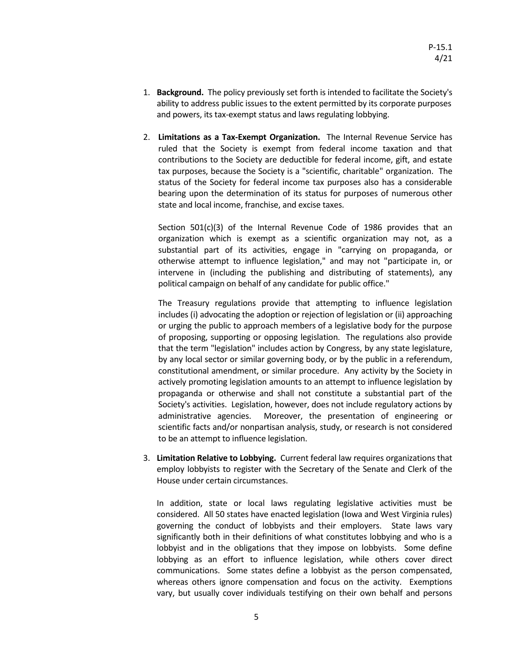- 1. **Background.** The policy previously set forth is intended to facilitate the Society's ability to address public issues to the extent permitted by its corporate purposes and powers, its tax-exempt status and laws regulating lobbying.
- 2. **Limitations as a Tax-Exempt Organization.** The Internal Revenue Service has ruled that the Society is exempt from federal income taxation and that contributions to the Society are deductible for federal income, gift, and estate tax purposes, because the Society is a "scientific, charitable" organization. The status of the Society for federal income tax purposes also has a considerable bearing upon the determination of its status for purposes of numerous other state and local income, franchise, and excise taxes.

 Section 501(c)(3) of the Internal Revenue Code of 1986 provides that an organization which is exempt as a scientific organization may not, as a substantial part of its activities, engage in "carrying on propaganda, or otherwise attempt to influence legislation," and may not "participate in, or intervene in (including the publishing and distributing of statements), any political campaign on behalf of any candidate for public office."

The Treasury regulations provide that attempting to influence legislation includes (i) advocating the adoption or rejection of legislation or (ii) approaching or urging the public to approach members of a legislative body for the purpose of proposing, supporting or opposing legislation. The regulations also provide that the term "legislation" includes action by Congress, by any state legislature, by any local sector or similar governing body, or by the public in a referendum, constitutional amendment, or similar procedure. Any activity by the Society in actively promoting legislation amounts to an attempt to influence legislation by propaganda or otherwise and shall not constitute a substantial part of the Society's activities. Legislation, however, does not include regulatory actions by administrative agencies. Moreover, the presentation of engineering or scientific facts and/or nonpartisan analysis, study, or research is not considered to be an attempt to influence legislation.

3. **Limitation Relative to Lobbying.** Current federal law requires organizations that employ lobbyists to register with the Secretary of the Senate and Clerk of the House under certain circumstances.

In addition, state or local laws regulating legislative activities must be considered. All 50 states have enacted legislation (Iowa and West Virginia rules) governing the conduct of lobbyists and their employers. State laws vary significantly both in their definitions of what constitutes lobbying and who is a lobbyist and in the obligations that they impose on lobbyists. Some define lobbying as an effort to influence legislation, while others cover direct communications. Some states define a lobbyist as the person compensated, whereas others ignore compensation and focus on the activity. Exemptions vary, but usually cover individuals testifying on their own behalf and persons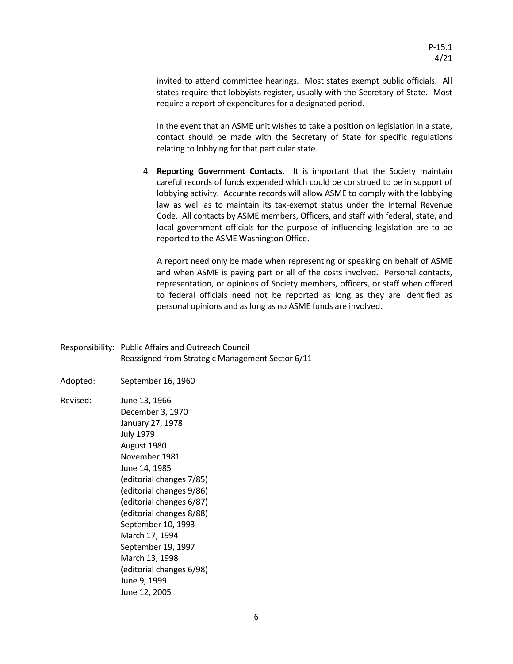invited to attend committee hearings. Most states exempt public officials. All states require that lobbyists register, usually with the Secretary of State. Most require a report of expenditures for a designated period.

In the event that an ASME unit wishes to take a position on legislation in a state, contact should be made with the Secretary of State for specific regulations relating to lobbying for that particular state.

4. **Reporting Government Contacts.** It is important that the Society maintain careful records of funds expended which could be construed to be in support of lobbying activity. Accurate records will allow ASME to comply with the lobbying law as well as to maintain its tax-exempt status under the Internal Revenue Code. All contacts by ASME members, Officers, and staff with federal, state, and local government officials for the purpose of influencing legislation are to be reported to the ASME Washington Office.

A report need only be made when representing or speaking on behalf of ASME and when ASME is paying part or all of the costs involved. Personal contacts, representation, or opinions of Society members, officers, or staff when offered to federal officials need not be reported as long as they are identified as personal opinions and as long as no ASME funds are involved.

- Responsibility: Public Affairs and Outreach Council Reassigned from Strategic Management Sector 6/11
- Adopted: September 16, 1960
- Revised: June 13, 1966 December 3, 1970 January 27, 1978 July 1979 August 1980 November 1981 June 14, 1985 (editorial changes 7/85) (editorial changes 9/86) (editorial changes 6/87) (editorial changes 8/88) September 10, 1993 March 17, 1994 September 19, 1997 March 13, 1998 (editorial changes 6/98) June 9, 1999 June 12, 2005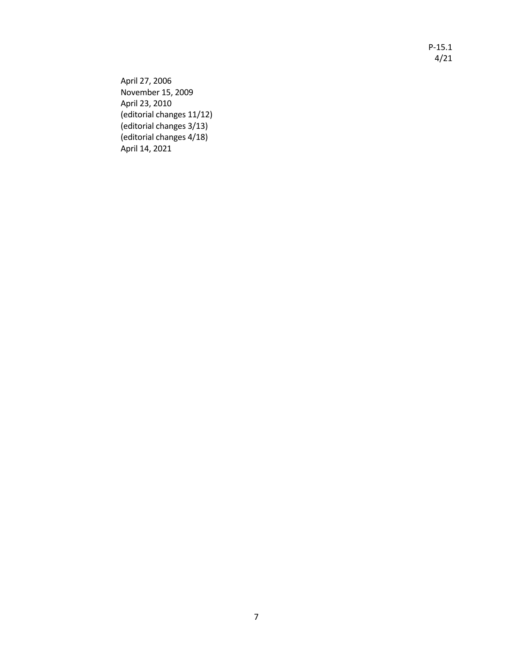P-15.1 4/21

April 27, 2006 November 15, 2009 April 23, 2010 (editorial changes 11/12) (editorial changes 3/13) (editorial changes 4/18) April 14, 2021